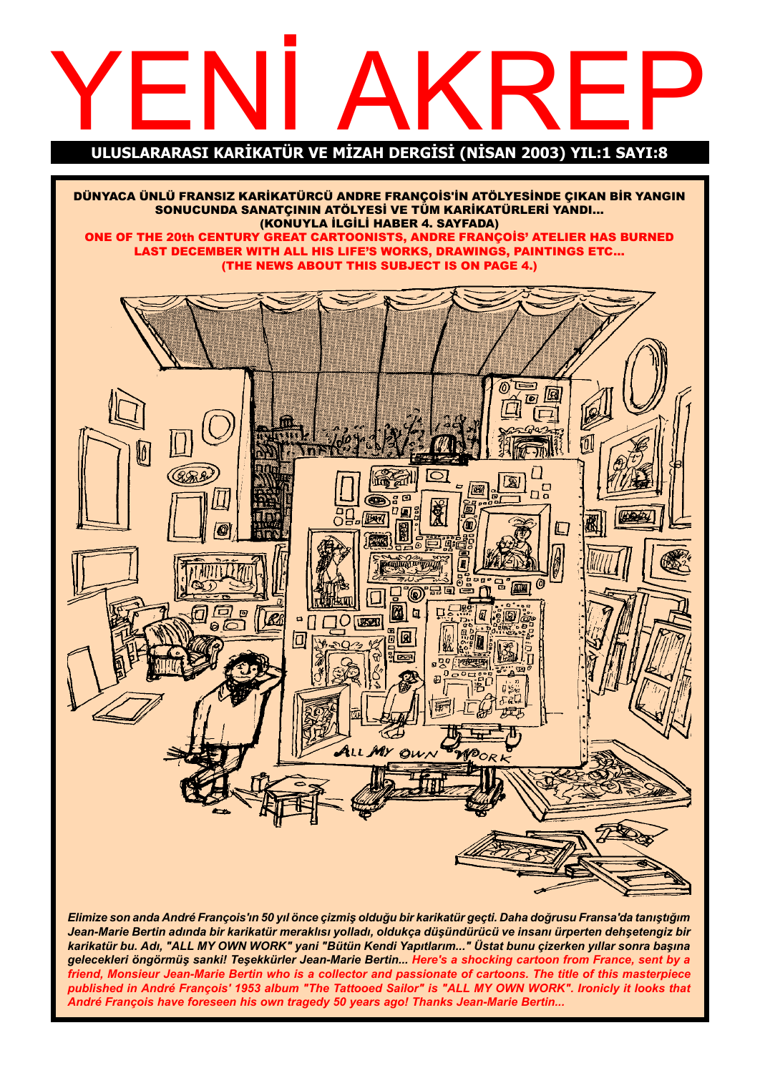# YEN TÜP VE MİZAH DEPGİSİ (NİSAN 2003) YIL:1 SAYL'S

ULUSLARARASI KARİKATÜR VE MİZAH DERGİSİ (NİSAN 2003) YIL:1 SAYI:8

DÜNYACA ÜNLÜ FRANSIZ KARİKATÜRCÜ ANDRE FRANÇOİS'İN ATÖLYESİNDE ÇIKAN BİR YANGIN SONUCUNDA SANATÇININ ATÖLYESİ VE TÜM KARİKATÜRLERİ YANDI... (KONUYLA İLGİLİ HABER 4. SAYFADA) ONE OF THE 20th CENTURY GREAT CARTOONISTS, ANDRE FRANÇOIS' ATELIER HAS BURNED LAST DECEMBER WITH ALL HIS LIFE'S WORKS, DRAWINGS, PAINTINGS ETC... (THE NEWS ABOUT THIS SUBJECT IS ON PAGE 4.)้(ดั 圆  $\overline{10}$ Iг  $\left| \widehat{\mathbb{Z}} \right|$ 四 ಕ 亙 एला 偭 F 阪府 IT 価 @ ® ∃ h 园 **D**  $\overline{O}$ **USED**  $\overline{\Box}$ **R** ALL MY  $Q_{\mu\lambda}$ 

Elimize son anda André François'ın 50 yıl önce çizmiş olduğu bir karikatür geçti. Daha doğrusu Fransa'da tanıştığım Jean-Marie Bertin adında bir karikatür meraklısı yolladı, oldukça düşündürücü ve insanı ürperten dehşetengiz bir karikatür bu. Adı, "ALL MY OWN WORK" yani "Bütün Kendi Yapıtlarım..." Üstat bunu çizerken yıllar sonra başına gelecekleri öngörmüş sanki! Teşekkürler Jean-Marie Bertin... Here's a shocking cartoon from France, sent by a friend, Monsieur Jean-Marie Bertin who is a collector and passionate of cartoons. The title of this masterpiece published in André François' 1953 album "The Tattooed Sailor" is "ALL MY OWN WORK". Ironicly it looks that André François have foreseen his own tragedy 50 years ago! Thanks Jean-Marie Bertin...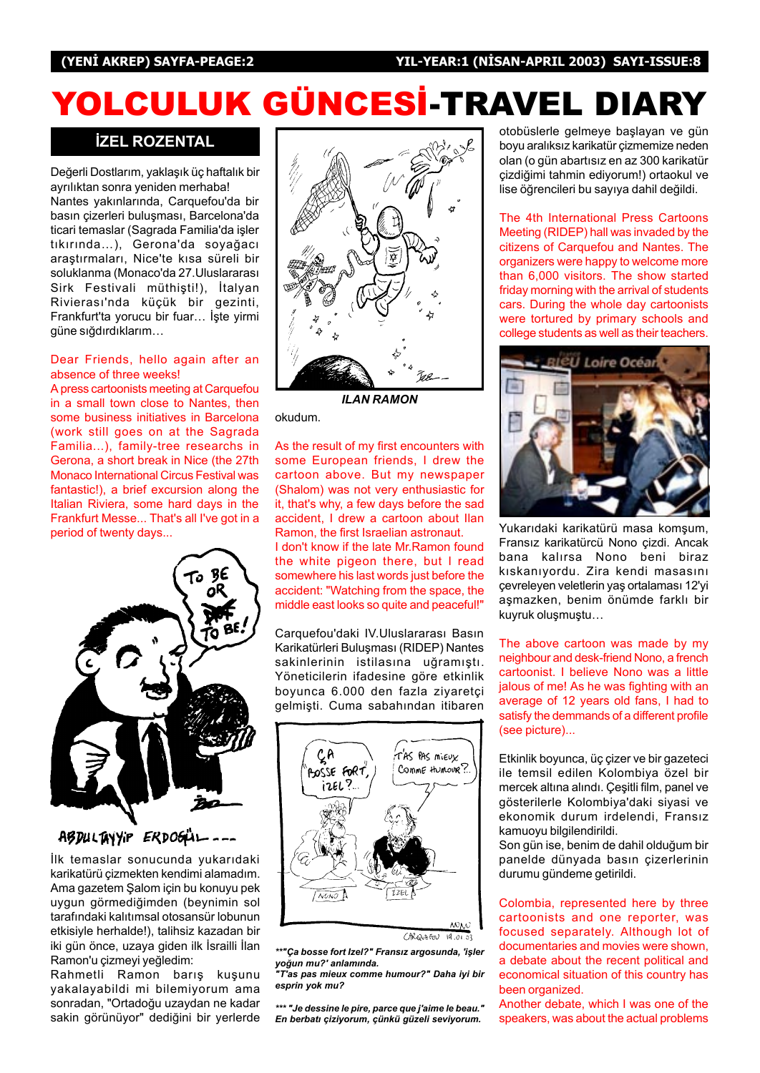# YOLCULUK GÜNCESİ-TRAVEL DIARY

#### **İZEL ROZENTAL**

Değerli Dostlarım, yaklaşık üç haftalık bir ayrılıktan sonra yeniden merhaba! Nantes yakınlarında, Carquefou'da bir basın çizerleri buluşması, Barcelona'da ticari temaslar (Sagrada Familia'da işler tıkırında...), Gerona'da soyağacı arastırmaları, Nice'te kısa süreli bir soluklanma (Monaco'da 27. Uluslararası Sirk Festivali müthişti!), İtalyan Rivierası'nda küçük bir gezinti, Frankfurt'ta yorucu bir fuar... İşte yirmi güne sığdırdıklarım...

#### Dear Friends, hello again after an absence of three weeks!

A press cartoonists meeting at Carquefou in a small town close to Nantes, then some business initiatives in Barcelona (work still goes on at the Sagrada Familia...), family-tree researchs in Gerona, a short break in Nice (the 27th Monaco International Circus Festival was fantastic!), a brief excursion along the Italian Riviera, some hard days in the Frankfurt Messe... That's all I've got in a period of twenty days...



ABDULTAYYIP ERDOGLI\_\_\_\_

İlk temaslar sonucunda yukarıdaki karikatürü çizmekten kendimi alamadım. Ama gazetem Şalom için bu konuyu pek uygun görmediğimden (beynimin sol tarafındaki kalıtımsal otosansür lobunun etkisiyle herhalde!), talihsiz kazadan bir iki gün önce, uzaya giden ilk İsrailli İlan Ramon'u çizmeyi yeğledim:

Rahmetli Ramon barış kuşunu yakalayabildi mi bilemiyorum ama sonradan, "Ortadoðu uzaydan ne kadar sakin görünüyor" dediğini bir yerlerde



ILAN RAMON

okudum.

As the result of my first encounters with some European friends, I drew the cartoon above. But my newspaper (Shalom) was not very enthusiastic for it, that's why, a few days before the sad accident, I drew a cartoon about Ilan Ramon, the first Israelian astronaut.

I don't know if the late Mr.Ramon found the white pigeon there, but I read somewhere his last words just before the accident: "Watching from the space, the middle east looks so quite and peaceful!"

Carquefou'daki IV.Uluslararası Basın Karikatürleri Buluşması (RIDEP) Nantes sakinlerinin istilasına uğramıştı. Yöneticilerin ifadesine göre etkinlik boyunca 6.000 den fazla ziyaretçi gelmişti. Cuma sabahından itibaren



CARQUEFOU  $19.01.03$ 

\*\*"Ca bosse fort Izel?" Fransız argosunda, 'işler yoğun mu?' anlamında. "T'as pas mieux comme humour?" Daha iyi bir

esprin yok mu?

\*\*\* "Je dessine le pire, parce que j'aime le beau." En berbatı çiziyorum, çünkü güzeli seviyorum.

otobüslerle gelmeye başlayan ve gün boyu aralıksız karikatür çizmemize neden olan (o gün abartısız en az 300 karikatür cizdiğimi tahmin ediyorum!) ortaokul ve lise öğrencileri bu sayıya dahil değildi.

The 4th International Press Cartoons Meeting (RIDEP) hall was invaded by the citizens of Carquefou and Nantes. The organizers were happy to welcome more than 6,000 visitors. The show started friday morning with the arrival of students cars. During the whole day cartoonists were tortured by primary schools and college students as well as their teachers.



Yukarıdaki karikatürü masa komşum, Fransız karikatürcü Nono çizdi. Ancak bana kalırsa Nono beni biraz kıskanıyordu. Zira kendi masasını çevreleyen veletlerin yaş ortalaması 12'yi aşmazken, benim önümde farklı bir kuyruk oluşmuştu...

The above cartoon was made by my neighbour and desk-friend Nono, a french cartoonist. I believe Nono was a little jalous of me! As he was fighting with an average of 12 years old fans, I had to satisfy the demmands of a different profile (see picture)...

Etkinlik boyunca, üç çizer ve bir gazeteci ile temsil edilen Kolombiya özel bir mercek altına alındı. Çeşitli film, panel ve gösterilerle Kolombiya'daki siyasi ve ekonomik durum irdelendi, Fransız kamuoyu bilgilendirildi.

Son gün ise, benim de dahil olduğum bir panelde dünyada basın çizerlerinin durumu gündeme getirildi.

Colombia, represented here by three cartoonists and one reporter, was focused separately. Although lot of documentaries and movies were shown, a debate about the recent political and economical situation of this country has been organized.

Another debate, which I was one of the speakers, was about the actual problems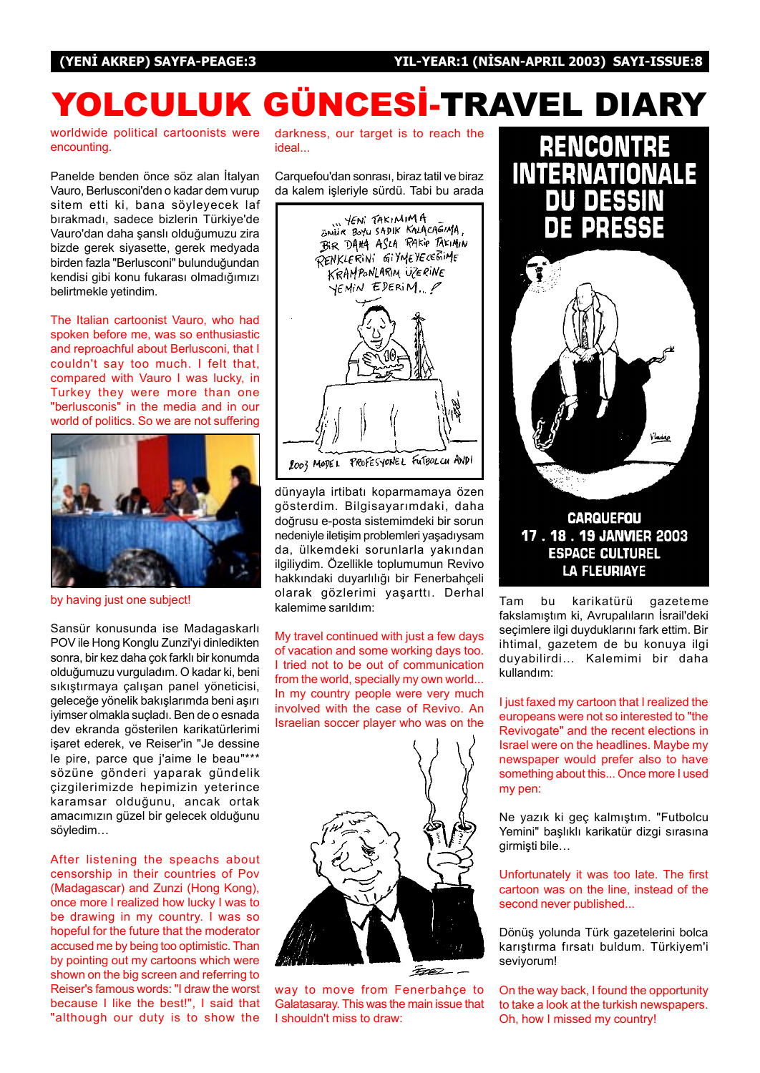# YOLCULUK GÜNCESİ-TRAVEL DIARY

worldwide political cartoonists were encounting.

Panelde benden önce söz alan İtalyan Vauro, Berlusconi'den o kadar dem vurup sitem etti ki, bana söyleyecek laf bırakmadı, sadece bizlerin Türkiye'de Vauro'dan daha şanslı olduğumuzu zira bizde gerek siyasette, gerek medyada birden fazla "Berlusconi" bulunduðundan kendisi gibi konu fukarası olmadığımızı belirtmekle yetindim.

The Italian cartoonist Vauro, who had spoken before me, was so enthusiastic and reproachful about Berlusconi, that I couldn't say too much. I felt that, compared with Vauro I was lucky, in Turkey they were more than one "berlusconis" in the media and in our world of politics. So we are not suffering



by having just one subject!

Sansür konusunda ise Madagaskarlı POV ile Hong Konglu Zunzi'yi dinledikten sonra, bir kez daha çok farklı bir konumda olduğumuzu vurguladım. O kadar ki, beni sıkıştırmaya çalışan panel yöneticisi, geleceğe yönelik bakışlarımda beni aşırı iyimser olmakla suçladı. Ben de o esnada dev ekranda gösterilen karikatürlerimi isaret ederek, ve Reiser'in "Je dessine le pire, parce que j'aime le beau"\*\*\* sözüne gönderi yaparak gündelik çizgilerimizde hepimizin yeterince karamsar olduðunu, ancak ortak amacımızın güzel bir gelecek olduğunu söyledim...

After listening the speachs about censorship in their countries of Pov (Madagascar) and Zunzi (Hong Kong), once more I realized how lucky I was to be drawing in my country. I was so hopeful for the future that the moderator accused me by being too optimistic. Than by pointing out my cartoons which were shown on the big screen and referring to Reiser's famous words: "I draw the worst because I like the best!", I said that "although our duty is to show the

darkness, our target is to reach the ideal...

Carquefou'dan sonrası, biraz tatil ve biraz da kalem isleriyle sürdü. Tabi bu arada



dünyayla irtibatı koparmamaya özen gösterdim. Bilgisayarımdaki, daha doðrusu e-posta sistemimdeki bir sorun nedeniyle iletişim problemleri yaşadıysam da, ülkemdeki sorunlarla yakından ilgiliydim. Özellikle toplumumun Revivo hakkındaki duyarlılığı bir Fenerbahçeli olarak gözlerimi yaşarttı. Derhal kalemime sarıldım:

My travel continued with just a few days of vacation and some working days too. I tried not to be out of communication from the world, specially my own world... In my country people were very much involved with the case of Revivo. An Israelian soccer player who was on the



way to move from Fenerbahce to Galatasaray. This was the main issue that I shouldn't miss to draw:



Tam bu karikatürü gazeteme fakslamıştım ki, Avrupalıların İsrail'deki seçimlere ilgi duyduklarını fark ettim. Bir ihtimal, gazetem de bu konuya ilgi duyabilirdi... Kalemimi bir daha kullandım:

I just faxed my cartoon that I realized the europeans were not so interested to "the Revivogate" and the recent elections in Israel were on the headlines. Maybe my newspaper would prefer also to have something about this... Once more I used my pen:

Ne yazık ki geç kalmıştım. "Futbolcu Yemini" başlıklı karikatür dizgi sırasına girmişti bile...

Unfortunately it was too late. The first cartoon was on the line, instead of the second never published...

Dönüş yolunda Türk gazetelerini bolca karıştırma fırsatı buldum. Türkiyem'i seviyorum!

On the way back, I found the opportunity to take a look at the turkish newspapers. Oh, how I missed my country!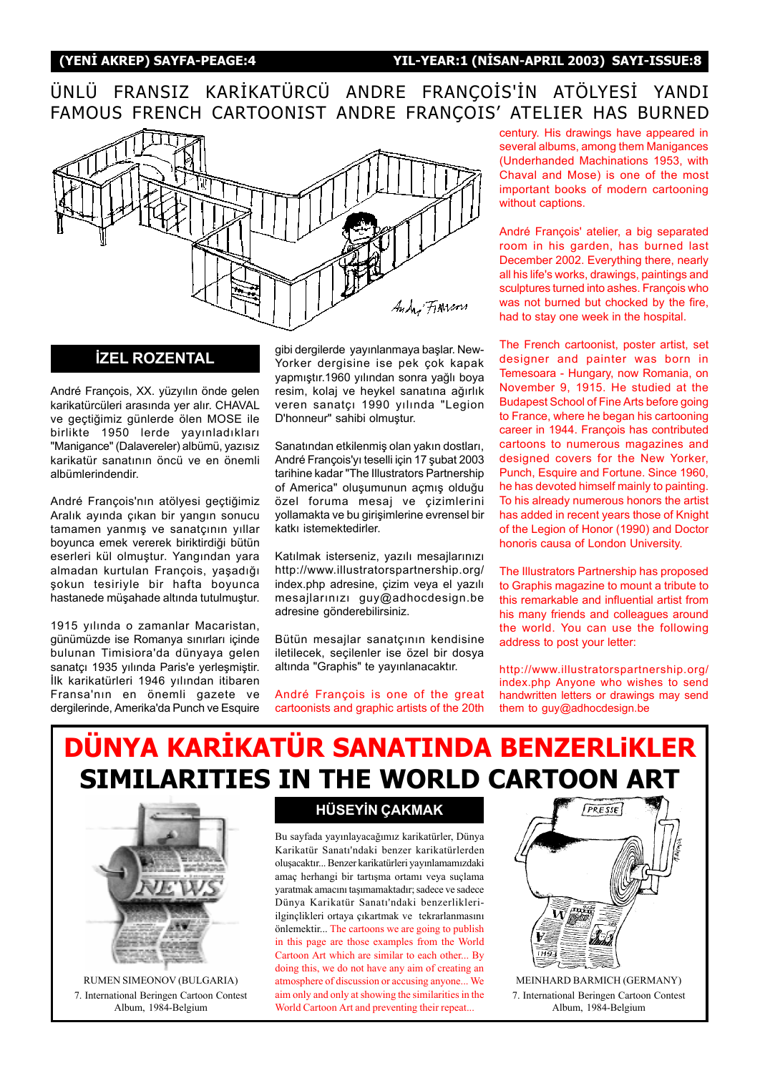## ÜNLÜ FRANSIZ KARİKATÜRCÜ ANDRE FRANÇOİS'İN ATÖLYESİ YANDI FAMOUS FRENCH CARTOONIST ANDRE FRANÇOIS' ATELIER HAS BURNED



André François, XX. yüzyılın önde gelen karikatürcüleri arasında yer alır. CHAVAL ve geçtiğimiz günlerde ölen MOSE ile birlikte 1950 lerde yayınladıkları "Manigance" (Dalavereler) albümü, yazısız karikatür sanatının öncü ve en önemli albümlerindendir.

André François'nın atölyesi geçtiğimiz Aralık ayında çıkan bir yangın sonucu tamamen yanmış ve sanatçının yıllar boyunca emek vererek biriktirdiği bütün eserleri kül olmuştur. Yangından yara almadan kurtulan François, yaşadığı ˛okun tesiriyle bir hafta boyunca hastanede müşahade altında tutulmuştur.

1915 yılında o zamanlar Macaristan, günümüzde ise Romanya sınırları içinde bulunan Timisiora'da dünyaya gelen sanatçı 1935 yılında Paris'e yerleşmiştir. İlk karikatürleri 1946 yılından itibaren Fransa'nın en önemli gazete ve dergilerinde, Amerika'da Punch ve Esquire

**IZEL ROZENTAL** gibi dergilerde yayınlanmaya başlar. New-Yorker dergisine ise pek çok kapak yapmıştır.1960 yılından sonra yağlı boya resim, kolaj ve heykel sanatına ağırlık veren sanatçı 1990 yılında "Legion D'honneur" sahibi olmustur.

> Sanatından etkilenmiş olan yakın dostları, André François'yı teselli için 17 şubat 2003 tarihine kadar "The Illustrators Partnership of America" oluşumunun açmış olduğu özel foruma mesaj ve çizimlerini yollamakta ve bu girişimlerine evrensel bir katkı istemektedirler.

> Katılmak isterseniz, yazılı mesajlarınızı http://www.illustratorspartnership.org/ index.php adresine, çizim veya el yazılı mesajlarınızı guy@adhocdesign.be adresine gönderebilirsiniz.

> Bütün mesajlar sanatçının kendisine iletilecek, seçilenler ise özel bir dosya altında "Graphis" te yayınlanacaktır.

> André François is one of the great cartoonists and graphic artists of the 20th

century. His drawings have appeared in several albums, among them Manigances (Underhanded Machinations 1953, with Chaval and Mose) is one of the most important books of modern cartooning without captions.

André François' atelier, a big separated room in his garden, has burned last December 2002. Everything there, nearly all his life's works, drawings, paintings and sculptures turned into ashes. François who was not burned but chocked by the fire, had to stay one week in the hospital.

The French cartoonist, poster artist, set designer and painter was born in Temesoara - Hungary, now Romania, on November 9, 1915. He studied at the Budapest School of Fine Arts before going to France, where he began his cartooning career in 1944. François has contributed cartoons to numerous magazines and designed covers for the New Yorker, Punch, Esquire and Fortune. Since 1960, he has devoted himself mainly to painting. To his already numerous honors the artist has added in recent years those of Knight of the Legion of Honor (1990) and Doctor honoris causa of London University.

The Illustrators Partnership has proposed to Graphis magazine to mount a tribute to this remarkable and influential artist from his many friends and colleagues around the world. You can use the following address to post your letter:

http://www.illustratorspartnership.org/ index.php Anyone who wishes to send handwritten letters or drawings may send them to guy@adhocdesign.be

## DÜNYA KARİKATÜR SANATINDA BENZERLIKLER SIMILARITIES IN THE WORLD CARTOON ART



RUMEN SIMEONOV (BULGARIA) 7. International Beringen Cartoon Contest Album, 1984-Belgium

### **HÜSEYİN ÇAKMAK**

Bu sayfada yayınlayacağımız karikatürler, Dünya Karikatür Sanatı'ndaki benzer karikatürlerden olusacaktır... Benzer karikatürleri yayınlamamızdaki amaç herhangi bir tartışma ortamı veya suçlama yaratmak amacını taşımamaktadır; sadece ve sadece Dünya Karikatür Sanatı'ndaki benzerlikleriilginçlikleri ortaya çıkartmak ve tekrarlanmasını önlemektir... The cartoons we are going to publish in this page are those examples from the World Cartoon Art which are similar to each other... By doing this, we do not have any aim of creating an atmosphere of discussion or accusing anyone... We aim only and only at showing the similarities in the World Cartoon Art and preventing their repeat...



7. International Beringen Cartoon Contest Album, 1984-Belgium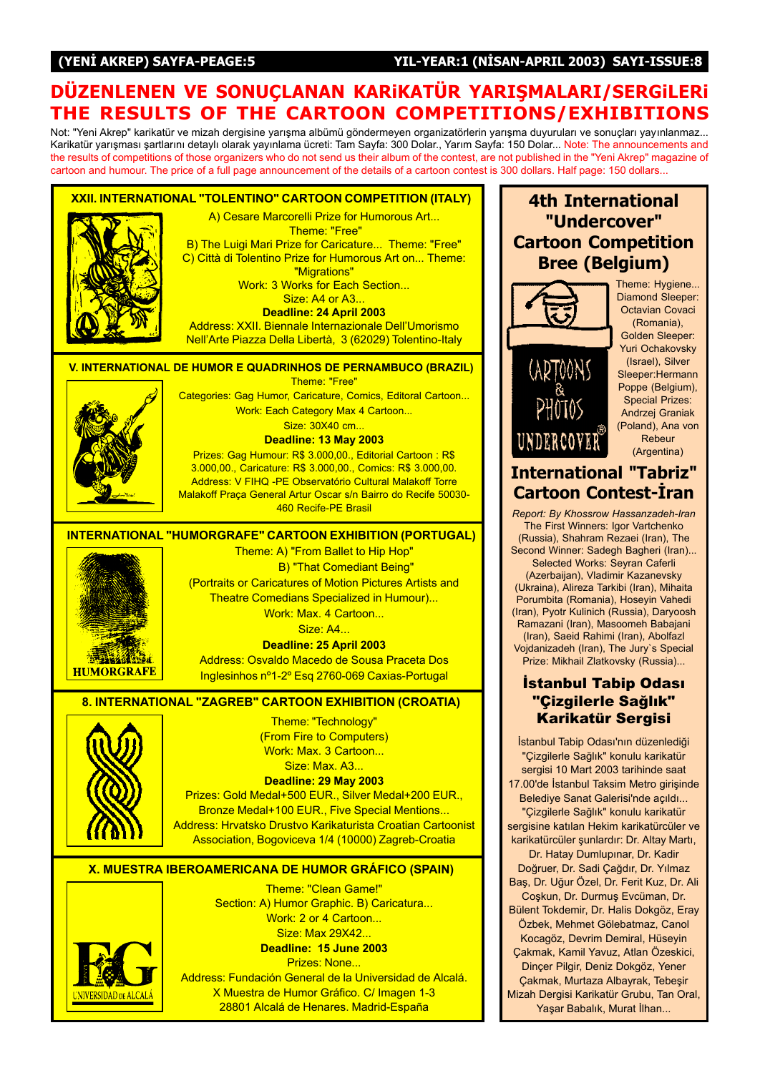#### (YENİ AKREP) SAYFA-PEAGE:5 YIL-YEAR:1 (NİSAN-APRIL 2003) SAYI-ISSUE:8

## DÜZENLENEN VE SONUÇLANAN KARIKATÜR YARIŞMALARI/SERGILERI THE RESULTS OF THE CARTOON COMPETITIONS/EXHIBITIONS

Not: "Yeni Akrep" karikatür ve mizah dergisine yarışma albümü göndermeyen organizatörlerin yarışma duyuruları ve sonuçları yayınlanmaz... Karikatür yarışması şartlarını detaylı olarak yayınlama ücreti: Tam Sayfa: 300 Dolar., Yarım Sayfa: 150 Dolar... Note: The announcements and the results of competitions of those organizers who do not send us their album of the contest, are not published in the "Yeni Akrep" magazine of cartoon and humour. The price of a full page announcement of the details of a cartoon contest is 300 dollars. Half page: 150 dollars...

XXII. INTERNATIONAL "TOLENTINO" CARTOON COMPETITION (ITALY) A) Cesare Marcorelli Prize for Humorous Art... Theme: "Free" B) The Luigi Mari Prize for Caricature... Theme: "Free" C) Città di Tolentino Prize for Humorous Art on... Theme: "Migrations" Work: 3 Works for Each Section... Size: A4 or A3... Deadline: 24 April 2003 Address: XXII. Biennale Internazionale Dell'Umorismo Nell'Arte Piazza Della Libertà, 3 (62029) Tolentino-Italy V. INTERNATIONAL DE HUMOR E QUADRINHOS DE PERNAMBUCO (BRAZIL)Theme: "Free" Categories: Gag Humor, Caricature, Comics, Editoral Cartoon... Work: Each Category Max 4 Cartoon... Size: 30X40 cm... Deadline: 13 May 2003 Prizes: Gag Humour: R\$ 3.000,00., Editorial Cartoon : R\$ 3.000,00., Caricature: R\$ 3.000,00., Comics: R\$ 3.000,00. Address: V FIHQ -PE Observatório Cultural Malakoff Torre Malakoff Praça General Artur Oscar s/n Bairro do Recife 50030-460 Recife-PE Brasil INTERNATIONAL "HUMORGRAFE" CARTOON EXHIBITION (PORTUGAL) Theme: A) "From Ballet to Hip Hop" B) "That Comediant Being" (Portraits or Caricatures of Motion Pictures Artists and Theatre Comedians Specialized in Humour)... Work: Max. 4 Cartoon... Size: A4... Deadline: 25 April 2003 1228236 Address: Osvaldo Macedo de Sousa Praceta Dos **HUMORGRAFE** Inglesinhos nº1-2º Esq 2760-069 Caxias-Portugal 8. INTERNATIONAL "ZAGREB" CARTOON EXHIBITION (CROATIA) Theme: "Technology" (From Fire to Computers) Work: Max. 3 Cartoon... Size: Max. A3... Deadline: 29 May 2003 Prizes: Gold Medal+500 EUR., Silver Medal+200 EUR., Bronze Medal+100 EUR., Five Special Mentions... Address: Hrvatsko Drustvo Karikaturista Croatian Cartoonist Association, Bogoviceva 1/4 (10000) Zagreb-Croatia X. MUESTRA IBEROAMERICANA DE HUMOR GRÁFICO (SPAIN) Theme: "Clean Game!" Section: A) Humor Graphic. B) Caricatura... Work: 2 or 4 Cartoon... Size: Max 29X42...

> Deadline: 15 June 2003 Prizes: None... Address: Fundación General de la Universidad de Alcalá. X Muestra de Humor Gráfico. C/ Imagen 1-3 28801 Alcalá de Henares. Madrid-España

## 4th International "Undercover" Cartoon Competition Bree (Belgium)



UNDERCOVER

Theme: Hygiene... Diamond Sleeper: Octavian Covaci (Romania),

Golden Sleeper: Yuri Ochakovsky (Israel), Silver Sleeper:Hermann Poppe (Belgium), Special Prizes: Andrzej Graniak (Poland), Ana von Rebeur (Argentina)

## International "Tabriz" **Cartoon Contest-Iran**

Report: By Khossrow Hassanzadeh-Iran The First Winners: Igor Vartchenko (Russia), Shahram Rezaei (Iran), The Second Winner: Sadegh Bagheri (Iran)... Selected Works: Seyran Caferli (Azerbaijan), Vladimir Kazanevsky (Ukraina), Alireza Tarkibi (Iran), Mihaita Porumbita (Romania), Hoseyin Vahedi (Iran), Pyotr Kulinich (Russia), Daryoosh Ramazani (Iran), Masoomeh Babajani (Iran), Saeid Rahimi (Iran), Abolfazl Vojdanizadeh (Iran), The Jury`s Special

#### **İstanbul Tabip Odası** "Cizgilerle Sağlık" **Karikatür Sergisi**

Prize: Mikhail Zlatkovsky (Russia)...

İstanbul Tabip Odası'nın düzenlediği "Çizgilerle Sağlık" konulu karikatür sergisi 10 Mart 2003 tarihinde saat 17.00'de İstanbul Taksim Metro girisinde Belediye Sanat Galerisi'nde açıldı... "Cizgilerle Sağlık" konulu karikatür sergisine katılan Hekim karikatürcüler ve karikatürcüler şunlardır: Dr. Altay Martı, Dr. Hatay Dumlupınar, Dr. Kadir Doğruer, Dr. Sadi Çağdır, Dr. Yılmaz Baş, Dr. Uğur Özel, Dr. Ferit Kuz, Dr. Ali Coşkun, Dr. Durmuş Evcüman, Dr. Bülent Tokdemir, Dr. Halis Dokgöz, Eray Özbek, Mehmet Gölebatmaz, Canol Kocagöz, Devrim Demiral, Hüseyin Çakmak, Kamil Yavuz, Atlan Özeskici, Dinçer Pilgir, Deniz Dokgöz, Yener Cakmak, Murtaza Albayrak, Tebesir Mizah Dergisi Karikatür Grubu, Tan Oral, Yaşar Babalık, Murat İlhan...

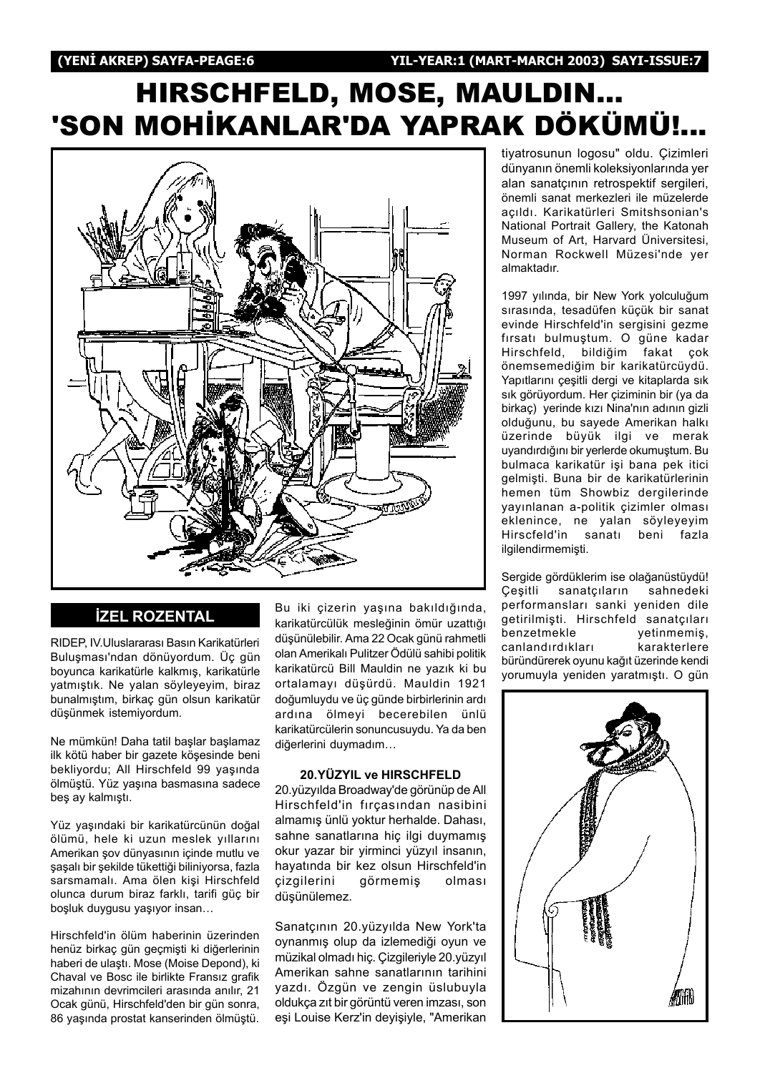# HIRSCHFELD, MOSE, MAULDIN... 'SON MOHİKANLAR'DA YAPRAK DÖKÜMÜ!..



#### **İZEL ROZENTAL**

RIDEP, IV.Uluslararası Basın Karikatürleri Buluşması'ndan dönüyordum. Üç gün boyunca karikatürle kalkmış, karikatürle yatmıştık. Ne yalan söyleyeyim, biraz bunalmıştım, birkaç gün olsun karikatür düşünmek istemiyordum.

Ne mümkün! Daha tatil başlar başlamaz ilk kötü haber bir gazete köşesinde beni bekliyordu; All Hirschfeld 99 yaşında ölmüştü. Yüz yaşına basmasına sadece beş ay kalmıştı.

Yüz yaşındaki bir karikatürcünün doğal ölümü, hele ki uzun meslek yıllarını Amerikan şov dünyasının içinde mutlu ve şaşalı bir şekilde tükettiği biliniyorsa, fazla sarsmamalı. Ama ölen kişi Hirschfeld olunca durum biraz farklı, tarifi güç bir boşluk duygusu yaşıyor insan...

Hirschfeld'in ölüm haberinin üzerinden henüz birkaç gün geçmişti ki diğerlerinin haberi de ulaştı. Mose (Moise Depond), ki Chaval ve Bosc ile birlikte Fransız grafik mizahının devrimcileri arasında anılır, 21 Ocak günü, Hirschfeld'den bir gün sonra, 86 yaşında prostat kanserinden ölmüştü.

Bu iki çizerin yaşına bakıldığında, karikatürcülük mesleğinin ömür uzattığı düşünülebilir. Ama 22 Ocak günü rahmetli olan Amerikalı Pulitzer Ödülü sahibi politik karikatürcü Bill Mauldin ne vazık ki bu ortalamayı düşürdü. Mauldin 1921 doğumluydu ve üç günde birbirlerinin ardı ardına ölmeyi becerebilen ünlü karikatürcülerin sonuncusuydu. Ya da ben diğerlerini duymadım...

#### 20.YÜZYIL ve HIRSCHFELD

20. yüzyılda Broadway'de görünüp de All Hirschfeld'in fırçasından nasibini almamış ünlü yoktur herhalde. Dahası, sahne sanatlarına hiç ilgi duymamış okur yazar bir yirminci yüzyıl insanın, hayatında bir kez olsun Hirschfeld'in çizgilerini görmemiş olması düşünülemez.

Sanatçının 20.yüzyılda New York'ta oynanmış olup da izlemediği oyun ve müzikal olmadı hiç. Cizgileriyle 20.yüzyıl Amerikan sahne sanatlarının tarihini yazdı. Özgün ve zengin üslubuyla oldukça zıt bir görüntü veren imzası, son eși Louise Kerz'in deyișiyle, "Amerikan

tiyatrosunun logosu" oldu. Çizimleri dünyanın önemli koleksiyonlarında yer alan sanatçının retrospektif sergileri, önemli sanat merkezleri ile müzelerde açıldı. Karikatürleri Smitshsonian's National Portrait Gallery, the Katonah Museum of Art, Harvard Üniversitesi, Norman Rockwell Müzesi'nde yer almaktadır.

1997 yılında, bir New York yolculuğum sırasında, tesadüfen küçük bir sanat evinde Hirschfeld'in sergisini gezme fırsatı bulmuştum. O güne kadar Hirschfeld, bildiğim fakat çok önemsemediğim bir karikatürcüydü. Yapıtlarını çeşitli dergi ve kitaplarda sık sık görüyordum. Her çiziminin bir (ya da birkac) yerinde kızı Nina'nın adının gizli olduğunu, bu sayede Amerikan halkı üzerinde büyük ilgi ve merak uyandırdığını bir yerlerde okumuştum. Bu bulmaca karikatür işi bana pek itici gelmişti. Buna bir de karikatürlerinin hemen tüm Showbiz dergilerinde yayınlanan a-politik çizimler olması eklenince, ne yalan söyleyeyim Hirscfeld'in sanatı beni fazla ilgilendirmemişti.

Sergide gördüklerim ise olağanüstüydü! Cesitli sanatçıların sahnedeki performansları sanki yeniden dile getirilmişti. Hirschfeld sanatçıları benzetmekle vetinmemis, canlandırdıkları karakterlere büründürerek oyunu kağıt üzerinde kendi yorumuyla yeniden yaratmıştı. O gün

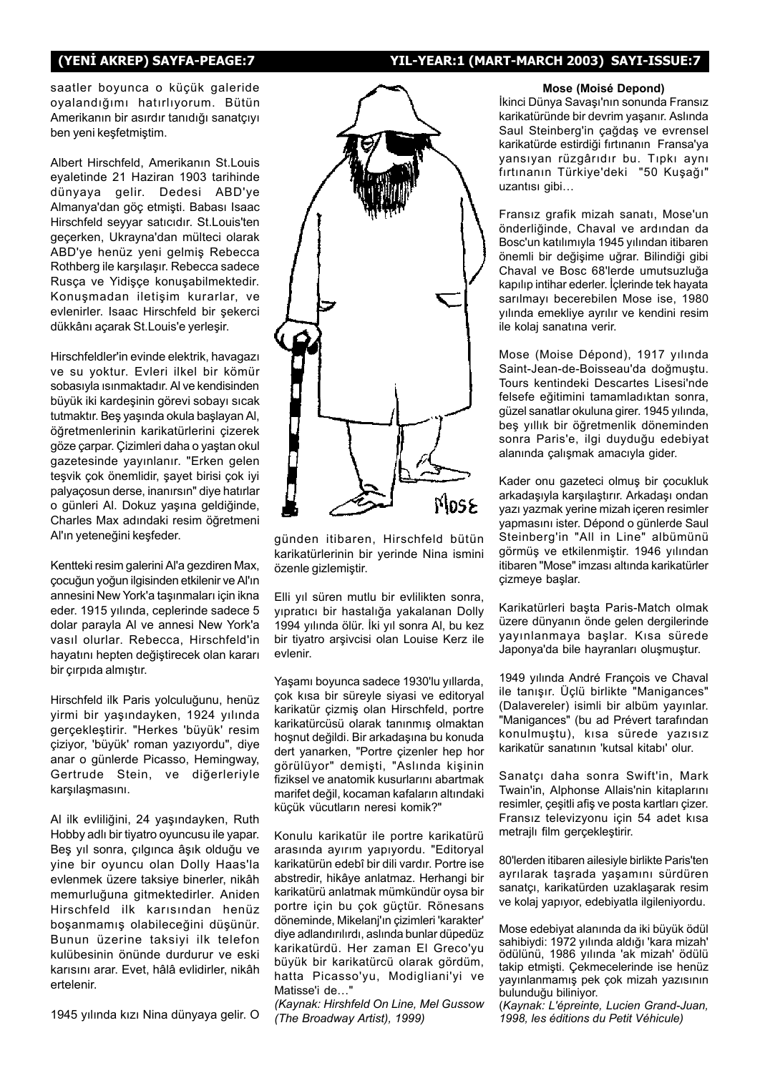#### (YENİ AKREP) SAYFA-PEAGE:7 YIL-YEAR:1 (MART-MARCH 2003) SAYI-ISSUE:7

saatler boyunca o küçük galeride oyalandığımı hatırlıyorum. Bütün Amerikanın bir asırdır tanıdığı sanatçıyı ben yeni kesfetmistim.

Albert Hirschfeld, Amerikanın St.Louis eyaletinde 21 Haziran 1903 tarihinde dünyaya gelir. Dedesi ABD'ye Almanya'dan göç etmişti. Babası Isaac Hirschfeld seyyar satıcıdır. St.Louis'ten geçerken, Ukrayna'dan mülteci olarak ABD'ye henüz yeni gelmiş Rebecca Rothberg ile karşılaşır. Rebecca sadece Rusça ve Yidişçe konuşabilmektedir. Konuşmadan iletişim kurarlar, ve evlenirler. Isaac Hirschfeld bir sekerci dükkânı açarak St.Louis'e yerleşir.

Hirschfeldler'in evinde elektrik, havagazı ve su yoktur. Evleri ilkel bir kömür sobasıyla ısınmaktadır. Al ve kendisinden büyük iki kardeşinin görevi sobayı sıcak tutmaktır. Beş yaşında okula başlayan Al, öğretmenlerinin karikatürlerini çizerek göze çarpar. Çizimleri daha o yaştan okul gazetesinde yayınlanır. "Erken gelen tesvik çok önemlidir, şayet birisi çok iyi palyaçosun derse, inanırsın" diye hatırlar o günleri Al. Dokuz yaşına geldiğinde, Charles Max adındaki resim öğretmeni Al'ın yeteneğini keşfeder.

Kentteki resim galerini Al'a gezdiren Max, çocuğun yoğun ilgisinden etkilenir ve Al'ın annesini New York'a taşınmaları için ikna eder. 1915 yılında, ceplerinde sadece 5 dolar parayla Al ve annesi New York'a vasıl olurlar. Rebecca, Hirschfeld'in hayatını hepten değiştirecek olan kararı bir çırpıda almıştır.

Hirschfeld ilk Paris yolculuğunu, henüz yirmi bir yaşındayken, 1924 yılında gerçekleştirir. "Herkes 'büyük' resim çiziyor, 'büyük' roman yazıyordu", diye anar o günlerde Picasso, Hemingway, Gertrude Stein, ve diðerleriyle karşılaşmasını.

Al ilk evliliğini, 24 yaşındayken, Ruth Hobby adlı bir tiyatro oyuncusu ile yapar. Beş yıl sonra, çılgınca âşık olduğu ve yine bir oyuncu olan Dolly Haas'la evlenmek üzere taksiye binerler, nikâh memurluðuna gitmektedirler. Aniden Hirschfeld ilk karısından henüz boşanmamış olabileceğini düşünür. Bunun üzerine taksiyi ilk telefon kulübesinin önünde durdurur ve eski karısını arar. Evet, hâlâ evlidirler, nikâh ertelenir.

1945 yılında kızı Nina dünyaya gelir. O



günden itibaren, Hirschfeld bütün karikatürlerinin bir yerinde Nina ismini özenle gizlemiştir.

Elli yıl süren mutlu bir evlilikten sonra, yıpratıcı bir hastalığa yakalanan Dolly 1994 yılında ölür. İki yıl sonra Al, bu kez bir tiyatro ar˛ivcisi olan Louise Kerz ile evlenir.

Yaşamı boyunca sadece 1930'lu yıllarda, çok kısa bir süreyle siyasi ve editoryal karikatür çizmiş olan Hirschfeld, portre karikatürcüsü olarak tanınmış olmaktan hosnut değildi. Bir arkadaşına bu konuda dert yanarken, "Portre çizenler hep hor görülüyor" demişti, "Aslında kişinin fiziksel ve anatomik kusurlarını abartmak marifet değil, kocaman kafaların altındaki küçük vücutların neresi komik?"

Konulu karikatür ile portre karikatürü arasında ayırım yapıyordu. "Editoryal karikatürün edebî bir dili vardır. Portre ise abstredir, hikâye anlatmaz. Herhangi bir karikatürü anlatmak mümkündür oysa bir portre için bu çok güçtür. Rönesans döneminde, Mikelanj'ın çizimleri 'karakter' diye adlandırılırdı, aslında bunlar düpedüz karikatürdü. Her zaman El Greco'vu büyük bir karikatürcü olarak gördüm, hatta Picasso'yu, Modigliani'yi ve Matisse'i de..."

(Kaynak: Hirshfeld On Line, Mel Gussow (The Broadway Artist), 1999)

#### Mose (MoisÈ Depond)

İkinci Dünya Savaşı'nın sonunda Fransız karikatüründe bir devrim yaşanır. Aslında Saul Steinberg'in çağdaş ve evrensel karikatürde estirdiği fırtınanın Fransa'ya yansıyan rüzgârıdır bu. Tıpkı aynı fırtınanın Türkiye'deki "50 Kuşağı" uzantısı gibi...

Fransız grafik mizah sanatı, Mose'un önderliğinde, Chaval ve ardından da Bosc'un katılımıyla 1945 yılından itibaren önemli bir değişime uğrar. Bilindiği gibi Chaval ve Bosc 68'lerde umutsuzluða kapılıp intihar ederler. İçlerinde tek hayata sarılmayı becerebilen Mose ise, 1980 yılında emekliye ayrılır ve kendini resim ile kolaj sanatina verir.

Mose (Moise Dépond), 1917 yılında Saint-Jean-de-Boisseau'da doğmuştu. Tours kentindeki Descartes Lisesi'nde felsefe eğitimini tamamladıktan sonra, güzel sanatlar okuluna girer. 1945 yılında, beş yıllık bir öğretmenlik döneminden sonra Paris'e, ilgi duyduðu edebiyat alanında çalışmak amacıyla gider.

Kader onu gazeteci olmuş bir çocukluk arkadaşıyla karşılaştırır. Arkadaşı ondan yazı yazmak yerine mizah içeren resimler yapmasını ister. Dépond o günlerde Saul Steinberg'in "All in Line" albümünü görmüş ve etkilenmiştir. 1946 yılından itibaren "Mose" imzası altında karikatürler cizmeye başlar.

Karikatürleri başta Paris-Match olmak üzere dünyanın önde gelen dergilerinde yayınlanmaya başlar. Kısa sürede Japonya'da bile hayranları oluşmuştur.

1949 yılında André François ve Chaval ile tanışır. Üçlü birlikte "Manigances" (Dalavereler) isimli bir albüm yayınlar. "Manigances" (bu ad Prévert tarafından konulmuştu), kısa sürede yazısız karikatür sanatının 'kutsal kitabı' olur.

Sanatçı daha sonra Swift'in, Mark Twain'in, Alphonse Allais'nin kitaplarını resimler, çeşitli afiş ve posta kartları çizer. Fransız televizyonu için 54 adet kısa metrajlı film gerçekleştirir.

80'lerden itibaren ailesiyle birlikte Paris'ten ayrılarak taşrada yaşamını sürdüren sanatçı, karikatürden uzaklaşarak resim ve kolaj yapıyor, edebiyatla ilgileniyordu.

Mose edebiyat alanında da iki büyük ödül sahibiydi: 1972 yılında aldığı 'kara mizah' ödülünü, 1986 yılında 'ak mizah' ödülü takip etmişti. Çekmecelerinde ise henüz yayınlanmamış pek çok mizah yazısının bulunduðu biliniyor.

(Kaynak: L'épreinte, Lucien Grand-Juan, 1998, les éditions du Petit Véhicule)